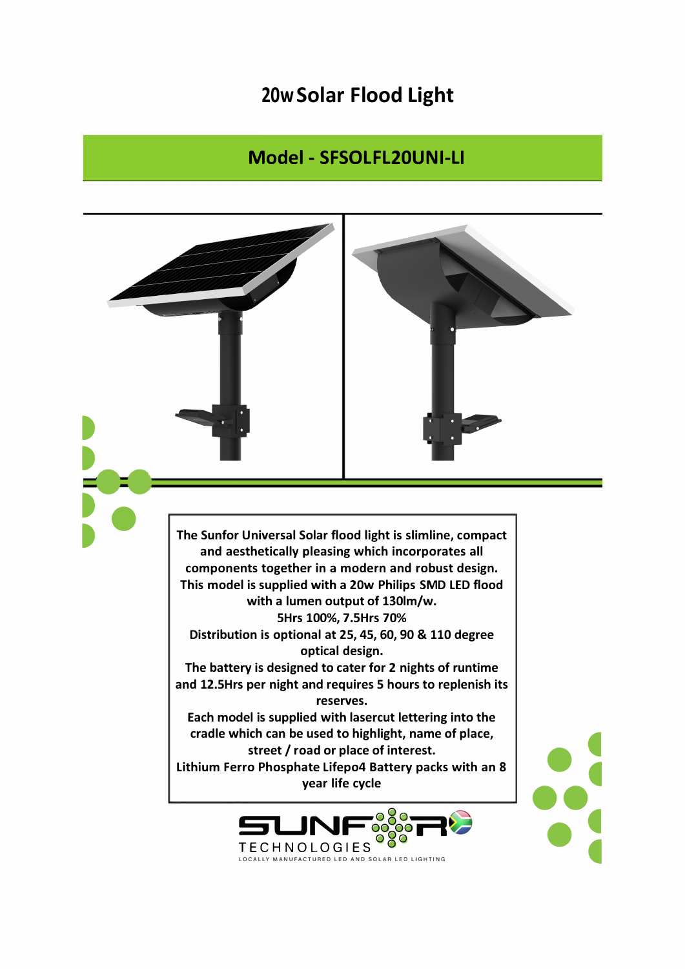## 20w Solar Flood Light

## Model - SFSOLFL20UNI-LI